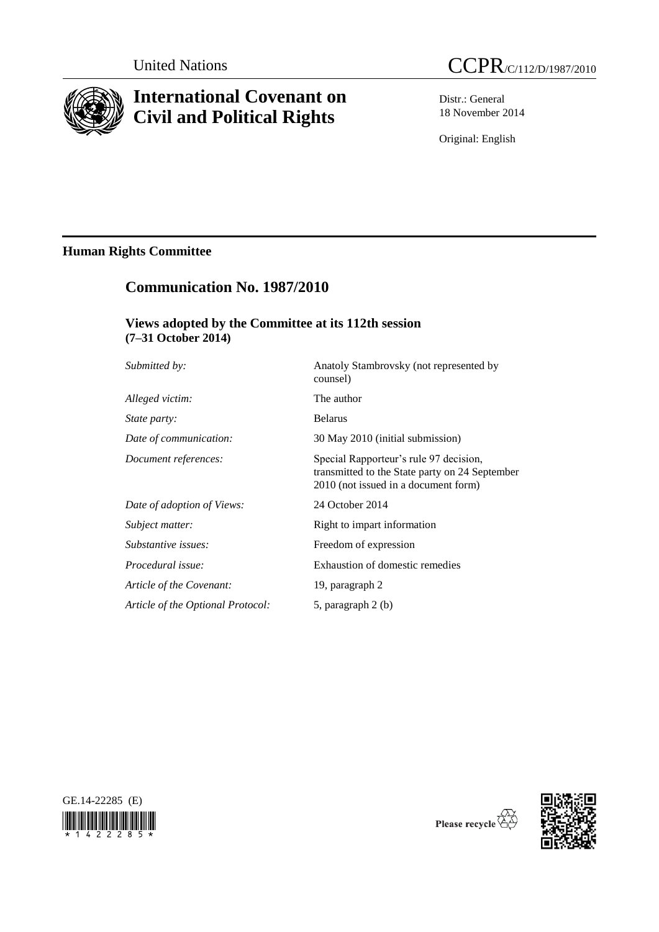

# **International Covenant on Civil and Political Rights**



Distr.: General 18 November 2014

Original: English

# **Human Rights Committee**

# **Communication No. 1987/2010**

# **Views adopted by the Committee at its 112th session (7–31 October 2014)**

| Submitted by:                     | Anatoly Stambrovsky (not represented by<br>counsel)                                                                              |
|-----------------------------------|----------------------------------------------------------------------------------------------------------------------------------|
| Alleged victim:                   | The author                                                                                                                       |
| <i>State party:</i>               | <b>Belarus</b>                                                                                                                   |
| Date of communication:            | 30 May 2010 (initial submission)                                                                                                 |
| Document references:              | Special Rapporteur's rule 97 decision,<br>transmitted to the State party on 24 September<br>2010 (not issued in a document form) |
| Date of adoption of Views:        | 24 October 2014                                                                                                                  |
| Subject matter:                   | Right to impart information                                                                                                      |
| Substantive issues:               | Freedom of expression                                                                                                            |
| Procedural issue:                 | Exhaustion of domestic remedies                                                                                                  |
| Article of the Covenant:          | 19, paragraph 2                                                                                                                  |
| Article of the Optional Protocol: | 5, paragraph 2 (b)                                                                                                               |





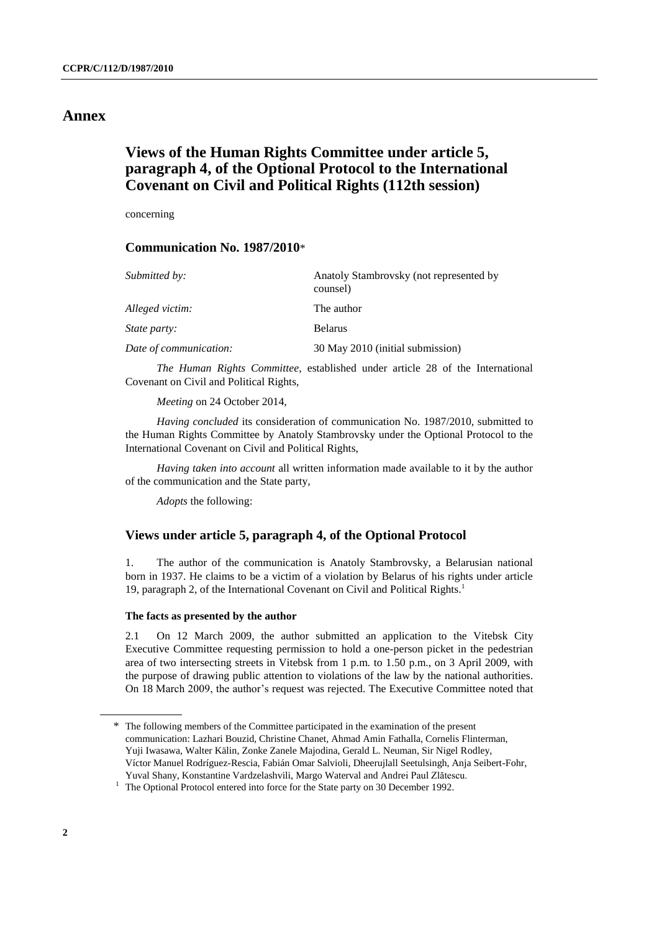## **Annex**

# **Views of the Human Rights Committee under article 5, paragraph 4, of the Optional Protocol to the International Covenant on Civil and Political Rights (112th session)**

concerning

### **Communication No. 1987/2010**\*

| Submitted by:          | Anatoly Stambrovsky (not represented by<br>counsel) |
|------------------------|-----------------------------------------------------|
| Alleged victim:        | The author                                          |
| <i>State party:</i>    | <b>Belarus</b>                                      |
| Date of communication: | 30 May 2010 (initial submission)                    |

*The Human Rights Committee*, established under article 28 of the International Covenant on Civil and Political Rights,

*Meeting* on 24 October 2014,

*Having concluded* its consideration of communication No. 1987/2010, submitted to the Human Rights Committee by Anatoly Stambrovsky under the Optional Protocol to the International Covenant on Civil and Political Rights,

*Having taken into account* all written information made available to it by the author of the communication and the State party,

*Adopts* the following:

### **Views under article 5, paragraph 4, of the Optional Protocol**

1. The author of the communication is Anatoly Stambrovsky, a Belarusian national born in 1937. He claims to be a victim of a violation by Belarus of his rights under article 19, paragraph 2, of the International Covenant on Civil and Political Rights.<sup>1</sup>

#### **The facts as presented by the author**

2.1 On 12 March 2009, the author submitted an application to the Vitebsk City Executive Committee requesting permission to hold a one-person picket in the pedestrian area of two intersecting streets in Vitebsk from 1 p.m. to 1.50 p.m., on 3 April 2009, with the purpose of drawing public attention to violations of the law by the national authorities. On 18 March 2009, the author's request was rejected. The Executive Committee noted that

<sup>\*</sup> The following members of the Committee participated in the examination of the present communication: Lazhari Bouzid, Christine Chanet, Ahmad Amin Fathalla, Cornelis Flinterman, Yuji Iwasawa, Walter Kälin, Zonke Zanele Majodina, Gerald L. Neuman, Sir Nigel Rodley, Víctor Manuel Rodríguez-Rescia, Fabián Omar Salvioli, Dheerujlall Seetulsingh, Anja Seibert-Fohr, Yuval Shany, Konstantine Vardzelashvili, Margo Waterval and Andrei Paul Zlătescu.

<sup>&</sup>lt;sup>1</sup> The Optional Protocol entered into force for the State party on 30 December 1992.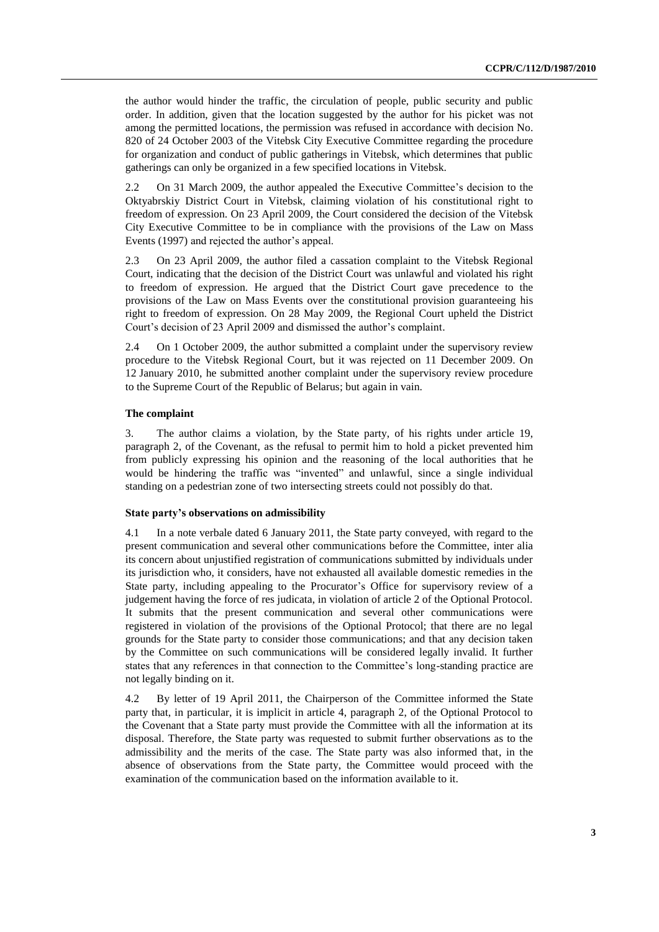the author would hinder the traffic, the circulation of people, public security and public order. In addition, given that the location suggested by the author for his picket was not among the permitted locations, the permission was refused in accordance with decision No. 820 of 24 October 2003 of the Vitebsk City Executive Committee regarding the procedure for organization and conduct of public gatherings in Vitebsk, which determines that public gatherings can only be organized in a few specified locations in Vitebsk.

2.2 On 31 March 2009, the author appealed the Executive Committee's decision to the Oktyabrskiy District Court in Vitebsk, claiming violation of his constitutional right to freedom of expression. On 23 April 2009, the Court considered the decision of the Vitebsk City Executive Committee to be in compliance with the provisions of the Law on Mass Events (1997) and rejected the author's appeal.

2.3 On 23 April 2009, the author filed a cassation complaint to the Vitebsk Regional Court, indicating that the decision of the District Court was unlawful and violated his right to freedom of expression. He argued that the District Court gave precedence to the provisions of the Law on Mass Events over the constitutional provision guaranteeing his right to freedom of expression. On 28 May 2009, the Regional Court upheld the District Court's decision of 23 April 2009 and dismissed the author's complaint.

2.4 On 1 October 2009, the author submitted a complaint under the supervisory review procedure to the Vitebsk Regional Court, but it was rejected on 11 December 2009. On 12 January 2010, he submitted another complaint under the supervisory review procedure to the Supreme Court of the Republic of Belarus; but again in vain.

#### **The complaint**

3. The author claims a violation, by the State party, of his rights under article 19, paragraph 2, of the Covenant, as the refusal to permit him to hold a picket prevented him from publicly expressing his opinion and the reasoning of the local authorities that he would be hindering the traffic was "invented" and unlawful, since a single individual standing on a pedestrian zone of two intersecting streets could not possibly do that.

#### **State party's observations on admissibility**

4.1 In a note verbale dated 6 January 2011, the State party conveyed, with regard to the present communication and several other communications before the Committee, inter alia its concern about unjustified registration of communications submitted by individuals under its jurisdiction who, it considers, have not exhausted all available domestic remedies in the State party, including appealing to the Procurator's Office for supervisory review of a judgement having the force of res judicata, in violation of article 2 of the Optional Protocol. It submits that the present communication and several other communications were registered in violation of the provisions of the Optional Protocol; that there are no legal grounds for the State party to consider those communications; and that any decision taken by the Committee on such communications will be considered legally invalid. It further states that any references in that connection to the Committee's long-standing practice are not legally binding on it.

4.2 By letter of 19 April 2011, the Chairperson of the Committee informed the State party that, in particular, it is implicit in article 4, paragraph 2, of the Optional Protocol to the Covenant that a State party must provide the Committee with all the information at its disposal. Therefore, the State party was requested to submit further observations as to the admissibility and the merits of the case. The State party was also informed that, in the absence of observations from the State party, the Committee would proceed with the examination of the communication based on the information available to it.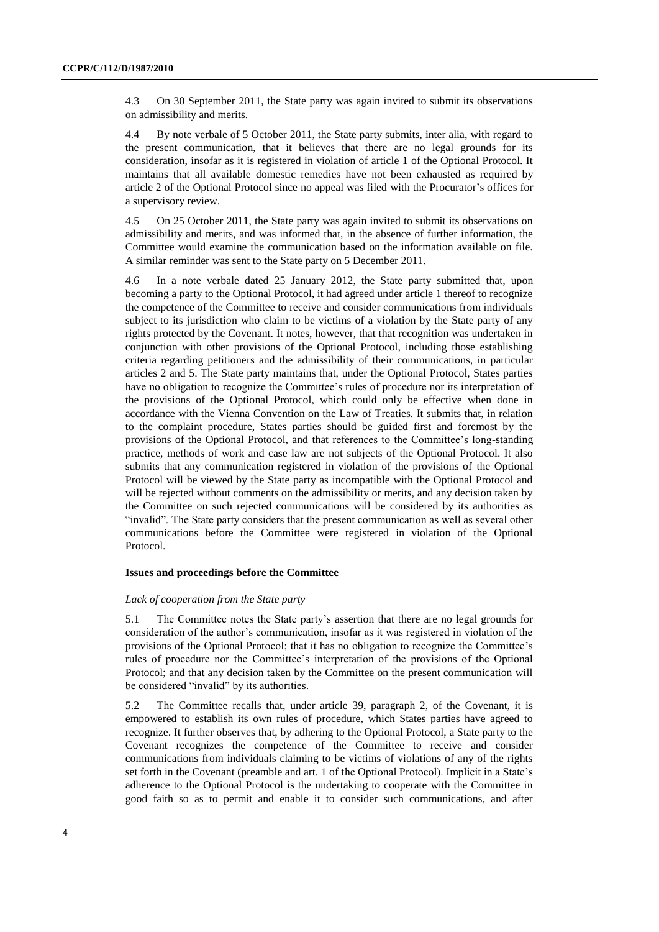4.3 On 30 September 2011, the State party was again invited to submit its observations on admissibility and merits.

4.4 By note verbale of 5 October 2011, the State party submits, inter alia, with regard to the present communication, that it believes that there are no legal grounds for its consideration, insofar as it is registered in violation of article 1 of the Optional Protocol. It maintains that all available domestic remedies have not been exhausted as required by article 2 of the Optional Protocol since no appeal was filed with the Procurator's offices for a supervisory review.

4.5 On 25 October 2011, the State party was again invited to submit its observations on admissibility and merits, and was informed that, in the absence of further information, the Committee would examine the communication based on the information available on file. A similar reminder was sent to the State party on 5 December 2011.

4.6 In a note verbale dated 25 January 2012, the State party submitted that, upon becoming a party to the Optional Protocol, it had agreed under article 1 thereof to recognize the competence of the Committee to receive and consider communications from individuals subject to its jurisdiction who claim to be victims of a violation by the State party of any rights protected by the Covenant. It notes, however, that that recognition was undertaken in conjunction with other provisions of the Optional Protocol, including those establishing criteria regarding petitioners and the admissibility of their communications, in particular articles 2 and 5. The State party maintains that, under the Optional Protocol, States parties have no obligation to recognize the Committee's rules of procedure nor its interpretation of the provisions of the Optional Protocol, which could only be effective when done in accordance with the Vienna Convention on the Law of Treaties. It submits that, in relation to the complaint procedure, States parties should be guided first and foremost by the provisions of the Optional Protocol, and that references to the Committee's long-standing practice, methods of work and case law are not subjects of the Optional Protocol. It also submits that any communication registered in violation of the provisions of the Optional Protocol will be viewed by the State party as incompatible with the Optional Protocol and will be rejected without comments on the admissibility or merits, and any decision taken by the Committee on such rejected communications will be considered by its authorities as "invalid". The State party considers that the present communication as well as several other communications before the Committee were registered in violation of the Optional Protocol.

#### **Issues and proceedings before the Committee**

#### *Lack of cooperation from the State party*

5.1 The Committee notes the State party's assertion that there are no legal grounds for consideration of the author's communication, insofar as it was registered in violation of the provisions of the Optional Protocol; that it has no obligation to recognize the Committee's rules of procedure nor the Committee's interpretation of the provisions of the Optional Protocol; and that any decision taken by the Committee on the present communication will be considered "invalid" by its authorities.

5.2 The Committee recalls that, under article 39, paragraph 2, of the Covenant, it is empowered to establish its own rules of procedure, which States parties have agreed to recognize. It further observes that, by adhering to the Optional Protocol, a State party to the Covenant recognizes the competence of the Committee to receive and consider communications from individuals claiming to be victims of violations of any of the rights set forth in the Covenant (preamble and art. 1 of the Optional Protocol). Implicit in a State's adherence to the Optional Protocol is the undertaking to cooperate with the Committee in good faith so as to permit and enable it to consider such communications, and after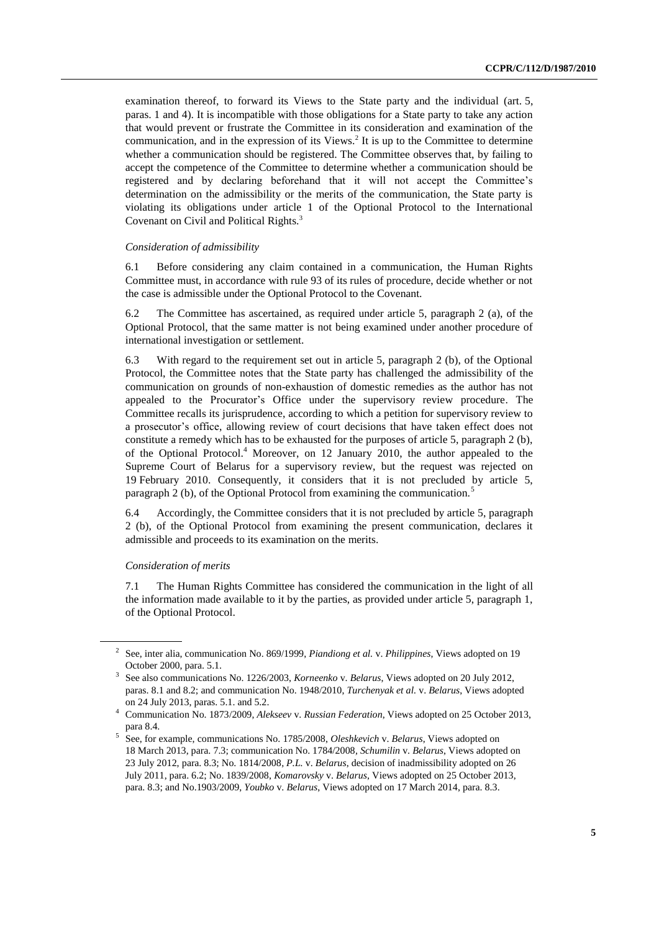examination thereof, to forward its Views to the State party and the individual (art. 5, paras. 1 and 4). It is incompatible with those obligations for a State party to take any action that would prevent or frustrate the Committee in its consideration and examination of the communication, and in the expression of its Views. 2 It is up to the Committee to determine whether a communication should be registered. The Committee observes that, by failing to accept the competence of the Committee to determine whether a communication should be registered and by declaring beforehand that it will not accept the Committee's determination on the admissibility or the merits of the communication, the State party is violating its obligations under article 1 of the Optional Protocol to the International Covenant on Civil and Political Rights.<sup>3</sup>

#### *Consideration of admissibility*

6.1 Before considering any claim contained in a communication, the Human Rights Committee must, in accordance with rule 93 of its rules of procedure, decide whether or not the case is admissible under the Optional Protocol to the Covenant.

6.2 The Committee has ascertained, as required under article 5, paragraph 2 (a), of the Optional Protocol, that the same matter is not being examined under another procedure of international investigation or settlement.

6.3 With regard to the requirement set out in article 5, paragraph 2 (b), of the Optional Protocol, the Committee notes that the State party has challenged the admissibility of the communication on grounds of non-exhaustion of domestic remedies as the author has not appealed to the Procurator's Office under the supervisory review procedure. The Committee recalls its jurisprudence, according to which a petition for supervisory review to a prosecutor's office, allowing review of court decisions that have taken effect does not constitute a remedy which has to be exhausted for the purposes of article 5, paragraph 2 (b), of the Optional Protocol.<sup>4</sup> Moreover, on 12 January 2010, the author appealed to the Supreme Court of Belarus for a supervisory review, but the request was rejected on 19 February 2010. Consequently, it considers that it is not precluded by article 5, paragraph 2 (b), of the Optional Protocol from examining the communication.<sup>5</sup>

6.4 Accordingly, the Committee considers that it is not precluded by article 5, paragraph 2 (b), of the Optional Protocol from examining the present communication, declares it admissible and proceeds to its examination on the merits.

#### *Consideration of merits*

7.1 The Human Rights Committee has considered the communication in the light of all the information made available to it by the parties, as provided under article 5, paragraph 1, of the Optional Protocol.

<sup>2</sup> See, inter alia, communication No. 869/1999, *Piandiong et al.* v. *Philippines*, Views adopted on 19 October 2000, para. 5.1.

<sup>3</sup> See also communications No. 1226/2003, *Korneenko* v. *Belarus*, Views adopted on 20 July 2012, paras. 8.1 and 8.2; and communication No. 1948/2010, *Turchenyak et al.* v. *Belarus*, Views adopted on 24 July 2013, paras. 5.1. and 5.2.

<sup>4</sup> Communication No. 1873/2009, *Alekseev* v. *Russian Federation*, Views adopted on 25 October 2013, para 8.4.

<sup>5</sup> See, for example, communications No. 1785/2008, *Oleshkevich* v. *Belarus*, Views adopted on 18 March 2013, para. 7.3; communication No. 1784/2008*, Schumilin* v. *Belarus*, Views adopted on 23 July 2012, para. 8.3; No. 1814/2008*, P.L.* v. *Belarus*, decision of inadmissibility adopted on 26 July 2011, para. 6.2; No. 1839/2008, *Komarovsky* v. *Belarus*, Views adopted on 25 October 2013, para. 8.3; and No.1903/2009, *Youbko* v. *Belarus*, Views adopted on 17 March 2014, para. 8.3.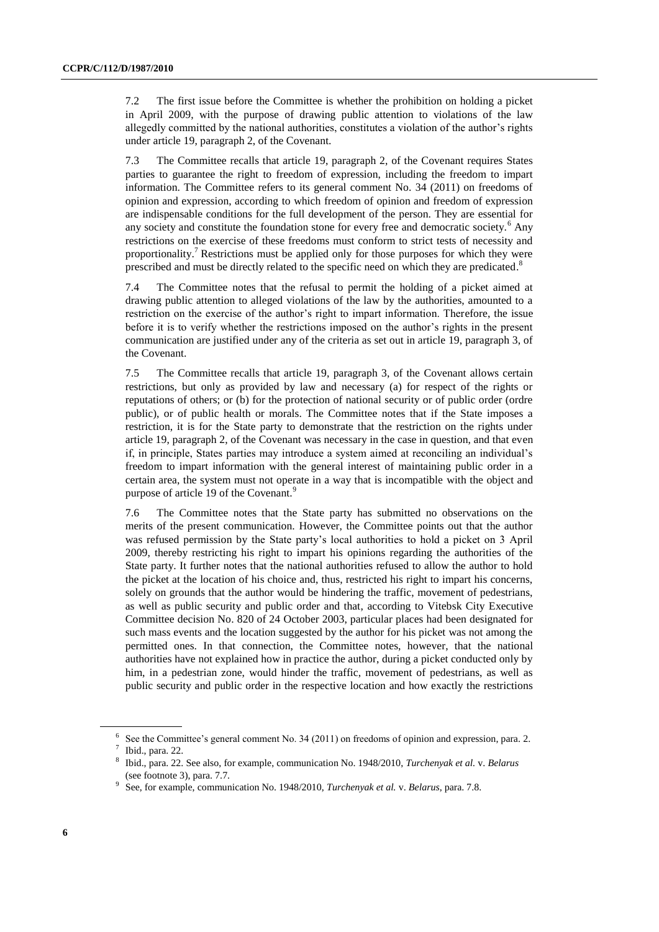7.2 The first issue before the Committee is whether the prohibition on holding a picket in April 2009, with the purpose of drawing public attention to violations of the law allegedly committed by the national authorities, constitutes a violation of the author's rights under article 19, paragraph 2, of the Covenant.

7.3 The Committee recalls that article 19, paragraph 2, of the Covenant requires States parties to guarantee the right to freedom of expression, including the freedom to impart information. The Committee refers to its general comment No. 34 (2011) on freedoms of opinion and expression, according to which freedom of opinion and freedom of expression are indispensable conditions for the full development of the person. They are essential for any society and constitute the foundation stone for every free and democratic society.<sup>6</sup> Any restrictions on the exercise of these freedoms must conform to strict tests of necessity and proportionality.<sup>7</sup> Restrictions must be applied only for those purposes for which they were prescribed and must be directly related to the specific need on which they are predicated.<sup>8</sup>

7.4 The Committee notes that the refusal to permit the holding of a picket aimed at drawing public attention to alleged violations of the law by the authorities, amounted to a restriction on the exercise of the author's right to impart information. Therefore, the issue before it is to verify whether the restrictions imposed on the author's rights in the present communication are justified under any of the criteria as set out in article 19, paragraph 3, of the Covenant.

7.5 The Committee recalls that article 19, paragraph 3, of the Covenant allows certain restrictions, but only as provided by law and necessary (a) for respect of the rights or reputations of others; or (b) for the protection of national security or of public order (ordre public), or of public health or morals. The Committee notes that if the State imposes a restriction, it is for the State party to demonstrate that the restriction on the rights under article 19, paragraph 2, of the Covenant was necessary in the case in question, and that even if, in principle, States parties may introduce a system aimed at reconciling an individual's freedom to impart information with the general interest of maintaining public order in a certain area, the system must not operate in a way that is incompatible with the object and purpose of article 19 of the Covenant.<sup>9</sup>

7.6 The Committee notes that the State party has submitted no observations on the merits of the present communication. However, the Committee points out that the author was refused permission by the State party's local authorities to hold a picket on 3 April 2009, thereby restricting his right to impart his opinions regarding the authorities of the State party. It further notes that the national authorities refused to allow the author to hold the picket at the location of his choice and, thus, restricted his right to impart his concerns, solely on grounds that the author would be hindering the traffic, movement of pedestrians, as well as public security and public order and that, according to Vitebsk City Executive Committee decision No. 820 of 24 October 2003, particular places had been designated for such mass events and the location suggested by the author for his picket was not among the permitted ones. In that connection, the Committee notes, however, that the national authorities have not explained how in practice the author, during a picket conducted only by him, in a pedestrian zone, would hinder the traffic, movement of pedestrians, as well as public security and public order in the respective location and how exactly the restrictions

<sup>&</sup>lt;sup>6</sup> See the Committee's general comment No. 34 (2011) on freedoms of opinion and expression, para. 2.

 $<sup>7</sup>$  Ibid., para. 22.</sup>

<sup>8</sup> Ibid., para. 22. See also, for example, communication No. 1948/2010, *Turchenyak et al.* v. *Belarus* (see footnote 3), para. 7.7.

<sup>9</sup> See, for example, communication No. 1948/2010, *Turchenyak et al.* v. *Belarus*, para. 7.8.